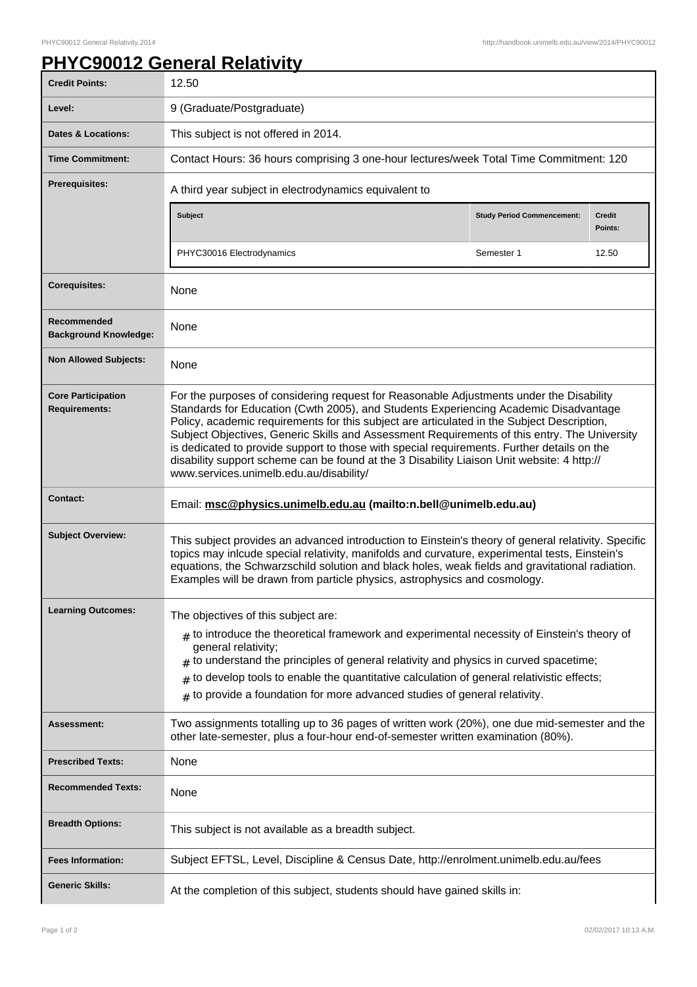## **PHYC90012 General Relativity**

| <b>Credit Points:</b>                             | 12.50                                                                                                                                                                                                                                                                                                                                                                                                                                                                                                                                                                                                                |                                   |                          |
|---------------------------------------------------|----------------------------------------------------------------------------------------------------------------------------------------------------------------------------------------------------------------------------------------------------------------------------------------------------------------------------------------------------------------------------------------------------------------------------------------------------------------------------------------------------------------------------------------------------------------------------------------------------------------------|-----------------------------------|--------------------------|
| Level:                                            | 9 (Graduate/Postgraduate)                                                                                                                                                                                                                                                                                                                                                                                                                                                                                                                                                                                            |                                   |                          |
| <b>Dates &amp; Locations:</b>                     | This subject is not offered in 2014.                                                                                                                                                                                                                                                                                                                                                                                                                                                                                                                                                                                 |                                   |                          |
| <b>Time Commitment:</b>                           | Contact Hours: 36 hours comprising 3 one-hour lectures/week Total Time Commitment: 120                                                                                                                                                                                                                                                                                                                                                                                                                                                                                                                               |                                   |                          |
| Prerequisites:                                    | A third year subject in electrodynamics equivalent to                                                                                                                                                                                                                                                                                                                                                                                                                                                                                                                                                                |                                   |                          |
|                                                   | Subject                                                                                                                                                                                                                                                                                                                                                                                                                                                                                                                                                                                                              | <b>Study Period Commencement:</b> | <b>Credit</b><br>Points: |
|                                                   | PHYC30016 Electrodynamics                                                                                                                                                                                                                                                                                                                                                                                                                                                                                                                                                                                            | Semester 1                        | 12.50                    |
| <b>Corequisites:</b>                              | None                                                                                                                                                                                                                                                                                                                                                                                                                                                                                                                                                                                                                 |                                   |                          |
| Recommended<br><b>Background Knowledge:</b>       | None                                                                                                                                                                                                                                                                                                                                                                                                                                                                                                                                                                                                                 |                                   |                          |
| <b>Non Allowed Subjects:</b>                      | None                                                                                                                                                                                                                                                                                                                                                                                                                                                                                                                                                                                                                 |                                   |                          |
| <b>Core Participation</b><br><b>Requirements:</b> | For the purposes of considering request for Reasonable Adjustments under the Disability<br>Standards for Education (Cwth 2005), and Students Experiencing Academic Disadvantage<br>Policy, academic requirements for this subject are articulated in the Subject Description,<br>Subject Objectives, Generic Skills and Assessment Requirements of this entry. The University<br>is dedicated to provide support to those with special requirements. Further details on the<br>disability support scheme can be found at the 3 Disability Liaison Unit website: 4 http://<br>www.services.unimelb.edu.au/disability/ |                                   |                          |
| <b>Contact:</b>                                   | Email: msc@physics.unimelb.edu.au (mailto:n.bell@unimelb.edu.au)                                                                                                                                                                                                                                                                                                                                                                                                                                                                                                                                                     |                                   |                          |
| <b>Subject Overview:</b>                          | This subject provides an advanced introduction to Einstein's theory of general relativity. Specific<br>topics may inlcude special relativity, manifolds and curvature, experimental tests, Einstein's<br>equations, the Schwarzschild solution and black holes, weak fields and gravitational radiation.<br>Examples will be drawn from particle physics, astrophysics and cosmology.                                                                                                                                                                                                                                |                                   |                          |
| <b>Learning Outcomes:</b>                         | The objectives of this subject are:<br>$_{\#}$ to introduce the theoretical framework and experimental necessity of Einstein's theory of<br>general relativity;<br>$#$ to understand the principles of general relativity and physics in curved spacetime;<br>$#$ to develop tools to enable the quantitative calculation of general relativistic effects;<br>$#$ to provide a foundation for more advanced studies of general relativity.                                                                                                                                                                           |                                   |                          |
| <b>Assessment:</b>                                | Two assignments totalling up to 36 pages of written work (20%), one due mid-semester and the<br>other late-semester, plus a four-hour end-of-semester written examination (80%).                                                                                                                                                                                                                                                                                                                                                                                                                                     |                                   |                          |
| <b>Prescribed Texts:</b>                          | None                                                                                                                                                                                                                                                                                                                                                                                                                                                                                                                                                                                                                 |                                   |                          |
| <b>Recommended Texts:</b>                         | None                                                                                                                                                                                                                                                                                                                                                                                                                                                                                                                                                                                                                 |                                   |                          |
| <b>Breadth Options:</b>                           | This subject is not available as a breadth subject.                                                                                                                                                                                                                                                                                                                                                                                                                                                                                                                                                                  |                                   |                          |
| <b>Fees Information:</b>                          | Subject EFTSL, Level, Discipline & Census Date, http://enrolment.unimelb.edu.au/fees                                                                                                                                                                                                                                                                                                                                                                                                                                                                                                                                 |                                   |                          |
| <b>Generic Skills:</b>                            | At the completion of this subject, students should have gained skills in:                                                                                                                                                                                                                                                                                                                                                                                                                                                                                                                                            |                                   |                          |